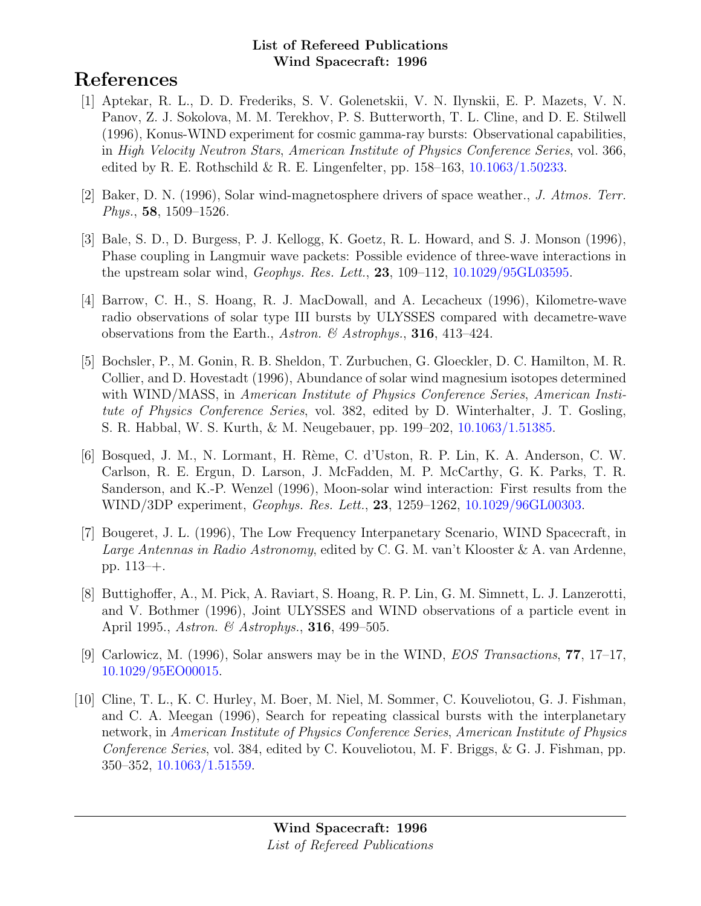# References

- [1] Aptekar, R. L., D. D. Frederiks, S. V. Golenetskii, V. N. Ilynskii, E. P. Mazets, V. N. Panov, Z. J. Sokolova, M. M. Terekhov, P. S. Butterworth, T. L. Cline, and D. E. Stilwell (1996), Konus-WIND experiment for cosmic gamma-ray bursts: Observational capabilities, in High Velocity Neutron Stars, American Institute of Physics Conference Series, vol. 366, edited by R. E. Rothschild & R. E. Lingenfelter, pp.  $158-163$ ,  $10.1063/1.50233$ .
- [2] Baker, D. N. (1996), Solar wind-magnetosphere drivers of space weather., J. Atmos. Terr. Phys., 58, 1509–1526.
- [3] Bale, S. D., D. Burgess, P. J. Kellogg, K. Goetz, R. L. Howard, and S. J. Monson (1996), Phase coupling in Langmuir wave packets: Possible evidence of three-wave interactions in the upstream solar wind, Geophys. Res. Lett., 23, 109–112, [10.1029/95GL03595.](http://dx.doi.org/10.1029/95GL03595)
- [4] Barrow, C. H., S. Hoang, R. J. MacDowall, and A. Lecacheux (1996), Kilometre-wave radio observations of solar type III bursts by ULYSSES compared with decametre-wave observations from the Earth., Astron. & Astrophys., 316, 413-424.
- [5] Bochsler, P., M. Gonin, R. B. Sheldon, T. Zurbuchen, G. Gloeckler, D. C. Hamilton, M. R. Collier, and D. Hovestadt (1996), Abundance of solar wind magnesium isotopes determined with WIND/MASS, in *American Institute of Physics Conference Series, American Insti*tute of Physics Conference Series, vol. 382, edited by D. Winterhalter, J. T. Gosling, S. R. Habbal, W. S. Kurth, & M. Neugebauer, pp. 199–202, [10.1063/1.51385.](http://dx.doi.org/10.1063/1.51385)
- [6] Bosqued, J. M., N. Lormant, H. R`eme, C. d'Uston, R. P. Lin, K. A. Anderson, C. W. Carlson, R. E. Ergun, D. Larson, J. McFadden, M. P. McCarthy, G. K. Parks, T. R. Sanderson, and K.-P. Wenzel (1996), Moon-solar wind interaction: First results from the WIND/3DP experiment, *Geophys. Res. Lett.*, **23**, 1259–1262, [10.1029/96GL00303.](http://dx.doi.org/10.1029/96GL00303)
- [7] Bougeret, J. L. (1996), The Low Frequency Interpanetary Scenario, WIND Spacecraft, in Large Antennas in Radio Astronomy, edited by C. G. M. van't Klooster & A. van Ardenne, pp. 113–+.
- [8] Buttighoffer, A., M. Pick, A. Raviart, S. Hoang, R. P. Lin, G. M. Simnett, L. J. Lanzerotti, and V. Bothmer (1996), Joint ULYSSES and WIND observations of a particle event in April 1995., Astron. & Astrophys., **316**, 499–505.
- [9] Carlowicz, M. (1996), Solar answers may be in the WIND, EOS Transactions, 77, 17–17, [10.1029/95EO00015.](http://dx.doi.org/10.1029/95EO00015)
- [10] Cline, T. L., K. C. Hurley, M. Boer, M. Niel, M. Sommer, C. Kouveliotou, G. J. Fishman, and C. A. Meegan (1996), Search for repeating classical bursts with the interplanetary network, in American Institute of Physics Conference Series, American Institute of Physics Conference Series, vol. 384, edited by C. Kouveliotou, M. F. Briggs, & G. J. Fishman, pp. 350–352, [10.1063/1.51559.](http://dx.doi.org/10.1063/1.51559)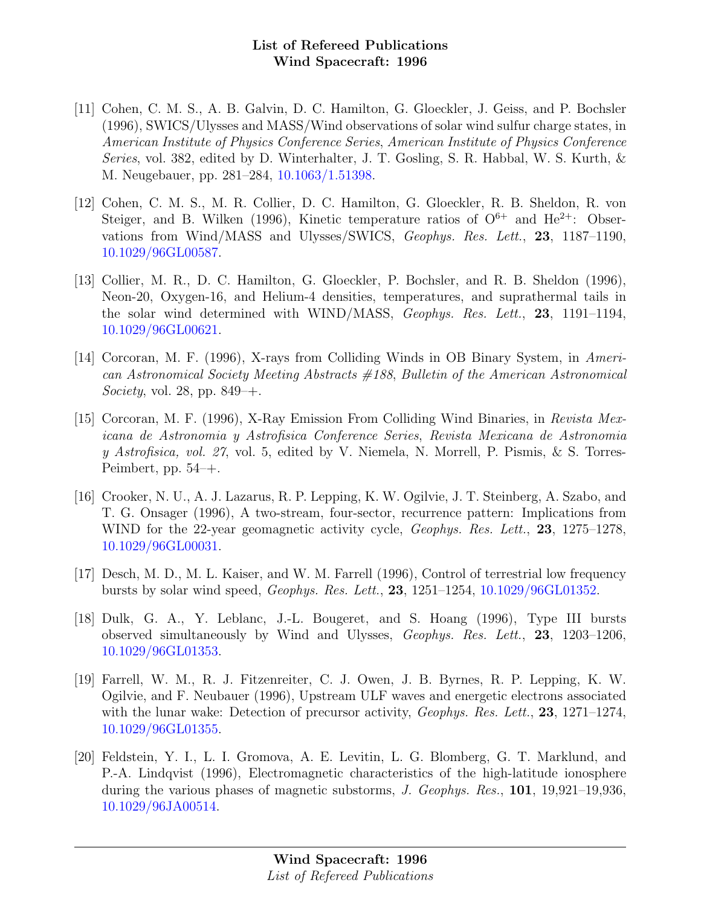- [11] Cohen, C. M. S., A. B. Galvin, D. C. Hamilton, G. Gloeckler, J. Geiss, and P. Bochsler (1996), SWICS/Ulysses and MASS/Wind observations of solar wind sulfur charge states, in American Institute of Physics Conference Series, American Institute of Physics Conference Series, vol. 382, edited by D. Winterhalter, J. T. Gosling, S. R. Habbal, W. S. Kurth, & M. Neugebauer, pp. 281–284, [10.1063/1.51398.](http://dx.doi.org/10.1063/1.51398)
- [12] Cohen, C. M. S., M. R. Collier, D. C. Hamilton, G. Gloeckler, R. B. Sheldon, R. von Steiger, and B. Wilken (1996), Kinetic temperature ratios of  $O^{6+}$  and  $He^{2+}$ : Observations from Wind/MASS and Ulysses/SWICS, Geophys. Res. Lett., 23, 1187–1190, [10.1029/96GL00587.](http://dx.doi.org/10.1029/96GL00587)
- [13] Collier, M. R., D. C. Hamilton, G. Gloeckler, P. Bochsler, and R. B. Sheldon (1996), Neon-20, Oxygen-16, and Helium-4 densities, temperatures, and suprathermal tails in the solar wind determined with WIND/MASS, Geophys. Res. Lett., 23, 1191–1194, [10.1029/96GL00621.](http://dx.doi.org/10.1029/96GL00621)
- [14] Corcoran, M. F. (1996), X-rays from Colliding Winds in OB Binary System, in American Astronomical Society Meeting Abstracts #188, Bulletin of the American Astronomical *Society*, vol. 28, pp.  $849 + .$
- [15] Corcoran, M. F. (1996), X-Ray Emission From Colliding Wind Binaries, in Revista Mexicana de Astronomia y Astrofisica Conference Series, Revista Mexicana de Astronomia y Astrofisica, vol. 27, vol. 5, edited by V. Niemela, N. Morrell, P. Pismis, & S. Torres-Peimbert, pp. 54–+.
- [16] Crooker, N. U., A. J. Lazarus, R. P. Lepping, K. W. Ogilvie, J. T. Steinberg, A. Szabo, and T. G. Onsager (1996), A two-stream, four-sector, recurrence pattern: Implications from WIND for the 22-year geomagnetic activity cycle, *Geophys. Res. Lett.*, **23**, 1275–1278, [10.1029/96GL00031.](http://dx.doi.org/10.1029/96GL00031)
- [17] Desch, M. D., M. L. Kaiser, and W. M. Farrell (1996), Control of terrestrial low frequency bursts by solar wind speed, Geophys. Res. Lett., 23, 1251–1254, [10.1029/96GL01352.](http://dx.doi.org/10.1029/96GL01352)
- [18] Dulk, G. A., Y. Leblanc, J.-L. Bougeret, and S. Hoang (1996), Type III bursts observed simultaneously by Wind and Ulysses, Geophys. Res. Lett., 23, 1203–1206, [10.1029/96GL01353.](http://dx.doi.org/10.1029/96GL01353)
- [19] Farrell, W. M., R. J. Fitzenreiter, C. J. Owen, J. B. Byrnes, R. P. Lepping, K. W. Ogilvie, and F. Neubauer (1996), Upstream ULF waves and energetic electrons associated with the lunar wake: Detection of precursor activity, *Geophys. Res. Lett.*, **23**, 1271–1274, [10.1029/96GL01355.](http://dx.doi.org/10.1029/96GL01355)
- [20] Feldstein, Y. I., L. I. Gromova, A. E. Levitin, L. G. Blomberg, G. T. Marklund, and P.-A. Lindqvist (1996), Electromagnetic characteristics of the high-latitude ionosphere during the various phases of magnetic substorms, J. Geophys. Res., 101, 19,921–19,936, [10.1029/96JA00514.](http://dx.doi.org/10.1029/96JA00514)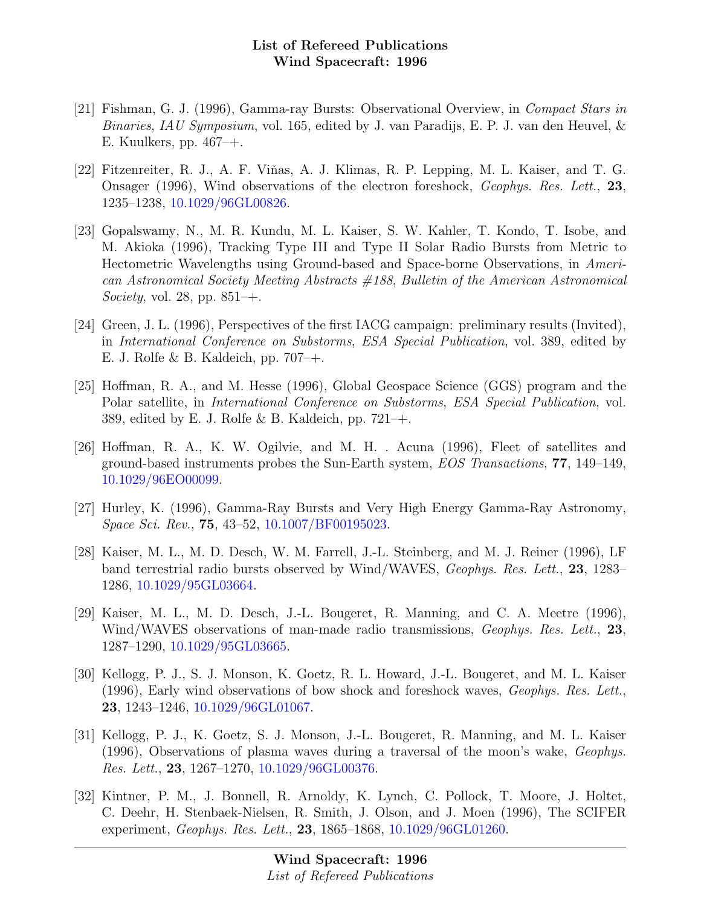- [21] Fishman, G. J. (1996), Gamma-ray Bursts: Observational Overview, in Compact Stars in Binaries, IAU Symposium, vol. 165, edited by J. van Paradijs, E. P. J. van den Heuvel, & E. Kuulkers, pp. 467–+.
- [22] Fitzenreiter, R. J., A. F. Viňas, A. J. Klimas, R. P. Lepping, M. L. Kaiser, and T. G. Onsager (1996), Wind observations of the electron foreshock, Geophys. Res. Lett., 23, 1235–1238, [10.1029/96GL00826.](http://dx.doi.org/10.1029/96GL00826)
- [23] Gopalswamy, N., M. R. Kundu, M. L. Kaiser, S. W. Kahler, T. Kondo, T. Isobe, and M. Akioka (1996), Tracking Type III and Type II Solar Radio Bursts from Metric to Hectometric Wavelengths using Ground-based and Space-borne Observations, in American Astronomical Society Meeting Abstracts #188, Bulletin of the American Astronomical Society, vol. 28, pp.  $851$ –+.
- [24] Green, J. L. (1996), Perspectives of the first IACG campaign: preliminary results (Invited), in International Conference on Substorms, ESA Special Publication, vol. 389, edited by E. J. Rolfe & B. Kaldeich, pp. 707–+.
- [25] Hoffman, R. A., and M. Hesse (1996), Global Geospace Science (GGS) program and the Polar satellite, in International Conference on Substorms, ESA Special Publication, vol. 389, edited by E. J. Rolfe & B. Kaldeich, pp.  $721 - +$ .
- [26] Hoffman, R. A., K. W. Ogilvie, and M. H. . Acuna (1996), Fleet of satellites and ground-based instruments probes the Sun-Earth system, EOS Transactions, 77, 149–149, [10.1029/96EO00099.](http://dx.doi.org/10.1029/96EO00099)
- [27] Hurley, K. (1996), Gamma-Ray Bursts and Very High Energy Gamma-Ray Astronomy, Space Sci. Rev., 75, 43–52, [10.1007/BF00195023.](http://dx.doi.org/10.1007/BF00195023)
- [28] Kaiser, M. L., M. D. Desch, W. M. Farrell, J.-L. Steinberg, and M. J. Reiner (1996), LF band terrestrial radio bursts observed by Wind/WAVES, Geophys. Res. Lett., 23, 1283– 1286, [10.1029/95GL03664.](http://dx.doi.org/10.1029/95GL03664)
- [29] Kaiser, M. L., M. D. Desch, J.-L. Bougeret, R. Manning, and C. A. Meetre (1996), Wind/WAVES observations of man-made radio transmissions, *Geophys. Res. Lett.*, 23, 1287–1290, [10.1029/95GL03665.](http://dx.doi.org/10.1029/95GL03665)
- [30] Kellogg, P. J., S. J. Monson, K. Goetz, R. L. Howard, J.-L. Bougeret, and M. L. Kaiser (1996), Early wind observations of bow shock and foreshock waves, Geophys. Res. Lett., 23, 1243–1246, [10.1029/96GL01067.](http://dx.doi.org/10.1029/96GL01067)
- [31] Kellogg, P. J., K. Goetz, S. J. Monson, J.-L. Bougeret, R. Manning, and M. L. Kaiser (1996), Observations of plasma waves during a traversal of the moon's wake, Geophys. Res. Lett., 23, 1267–1270, [10.1029/96GL00376.](http://dx.doi.org/10.1029/96GL00376)
- [32] Kintner, P. M., J. Bonnell, R. Arnoldy, K. Lynch, C. Pollock, T. Moore, J. Holtet, C. Deehr, H. Stenbaek-Nielsen, R. Smith, J. Olson, and J. Moen (1996), The SCIFER experiment, Geophys. Res. Lett., 23, 1865–1868, [10.1029/96GL01260.](http://dx.doi.org/10.1029/96GL01260)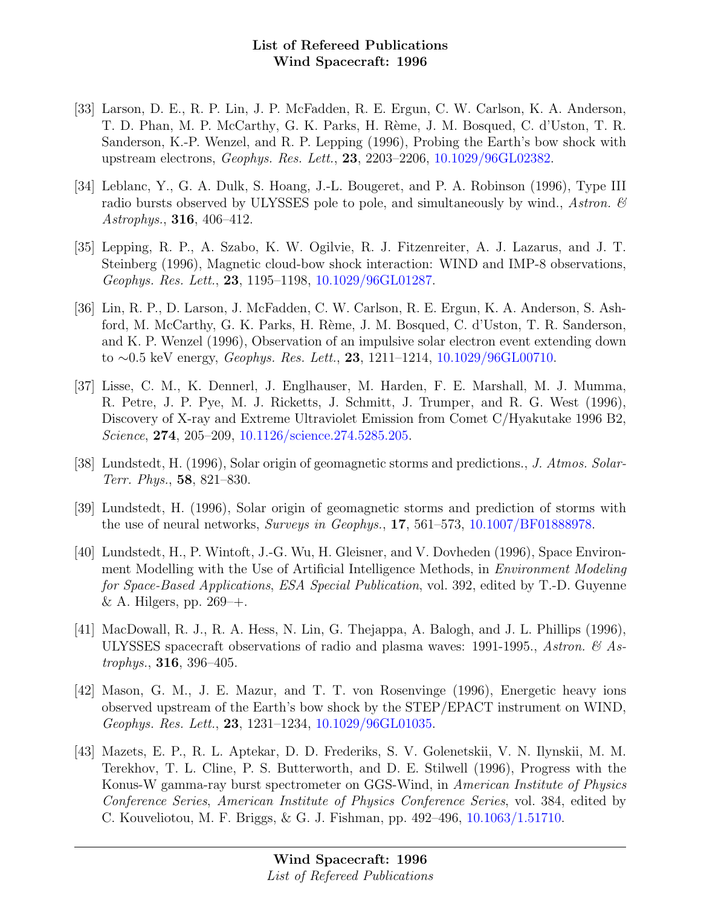- [33] Larson, D. E., R. P. Lin, J. P. McFadden, R. E. Ergun, C. W. Carlson, K. A. Anderson, T. D. Phan, M. P. McCarthy, G. K. Parks, H. Rème, J. M. Bosqued, C. d'Uston, T. R. Sanderson, K.-P. Wenzel, and R. P. Lepping (1996), Probing the Earth's bow shock with upstream electrons, Geophys. Res. Lett., 23, 2203–2206, [10.1029/96GL02382.](http://dx.doi.org/10.1029/96GL02382)
- [34] Leblanc, Y., G. A. Dulk, S. Hoang, J.-L. Bougeret, and P. A. Robinson (1996), Type III radio bursts observed by ULYSSES pole to pole, and simultaneously by wind., Astron.  $\mathscr$ Astrophys., 316, 406–412.
- [35] Lepping, R. P., A. Szabo, K. W. Ogilvie, R. J. Fitzenreiter, A. J. Lazarus, and J. T. Steinberg (1996), Magnetic cloud-bow shock interaction: WIND and IMP-8 observations, Geophys. Res. Lett., 23, 1195–1198, [10.1029/96GL01287.](http://dx.doi.org/10.1029/96GL01287)
- [36] Lin, R. P., D. Larson, J. McFadden, C. W. Carlson, R. E. Ergun, K. A. Anderson, S. Ashford, M. McCarthy, G. K. Parks, H. Rème, J. M. Bosqued, C. d'Uston, T. R. Sanderson, and K. P. Wenzel (1996), Observation of an impulsive solar electron event extending down to ∼0.5 keV energy, Geophys. Res. Lett., 23, 1211–1214, [10.1029/96GL00710.](http://dx.doi.org/10.1029/96GL00710)
- [37] Lisse, C. M., K. Dennerl, J. Englhauser, M. Harden, F. E. Marshall, M. J. Mumma, R. Petre, J. P. Pye, M. J. Ricketts, J. Schmitt, J. Trumper, and R. G. West (1996), Discovery of X-ray and Extreme Ultraviolet Emission from Comet C/Hyakutake 1996 B2, Science, 274, 205–209, [10.1126/science.274.5285.205.](http://dx.doi.org/10.1126/science.274.5285.205)
- [38] Lundstedt, H. (1996), Solar origin of geomagnetic storms and predictions., J. Atmos. Solar-Terr. Phys., 58, 821–830.
- [39] Lundstedt, H. (1996), Solar origin of geomagnetic storms and prediction of storms with the use of neural networks, Surveys in Geophys., 17, 561–573, [10.1007/BF01888978.](http://dx.doi.org/10.1007/BF01888978)
- [40] Lundstedt, H., P. Wintoft, J.-G. Wu, H. Gleisner, and V. Dovheden (1996), Space Environment Modelling with the Use of Artificial Intelligence Methods, in Environment Modeling for Space-Based Applications, ESA Special Publication, vol. 392, edited by T.-D. Guyenne & A. Hilgers, pp.  $269 - +$ .
- [41] MacDowall, R. J., R. A. Hess, N. Lin, G. Thejappa, A. Balogh, and J. L. Phillips (1996), ULYSSES spacecraft observations of radio and plasma waves: 1991-1995., Astron.  $\mathcal{C}_{A}$  Astrophys., 316, 396–405.
- [42] Mason, G. M., J. E. Mazur, and T. T. von Rosenvinge (1996), Energetic heavy ions observed upstream of the Earth's bow shock by the STEP/EPACT instrument on WIND, Geophys. Res. Lett., 23, 1231–1234, [10.1029/96GL01035.](http://dx.doi.org/10.1029/96GL01035)
- [43] Mazets, E. P., R. L. Aptekar, D. D. Frederiks, S. V. Golenetskii, V. N. Ilynskii, M. M. Terekhov, T. L. Cline, P. S. Butterworth, and D. E. Stilwell (1996), Progress with the Konus-W gamma-ray burst spectrometer on GGS-Wind, in American Institute of Physics Conference Series, American Institute of Physics Conference Series, vol. 384, edited by C. Kouveliotou, M. F. Briggs, & G. J. Fishman, pp. 492–496, [10.1063/1.51710.](http://dx.doi.org/10.1063/1.51710)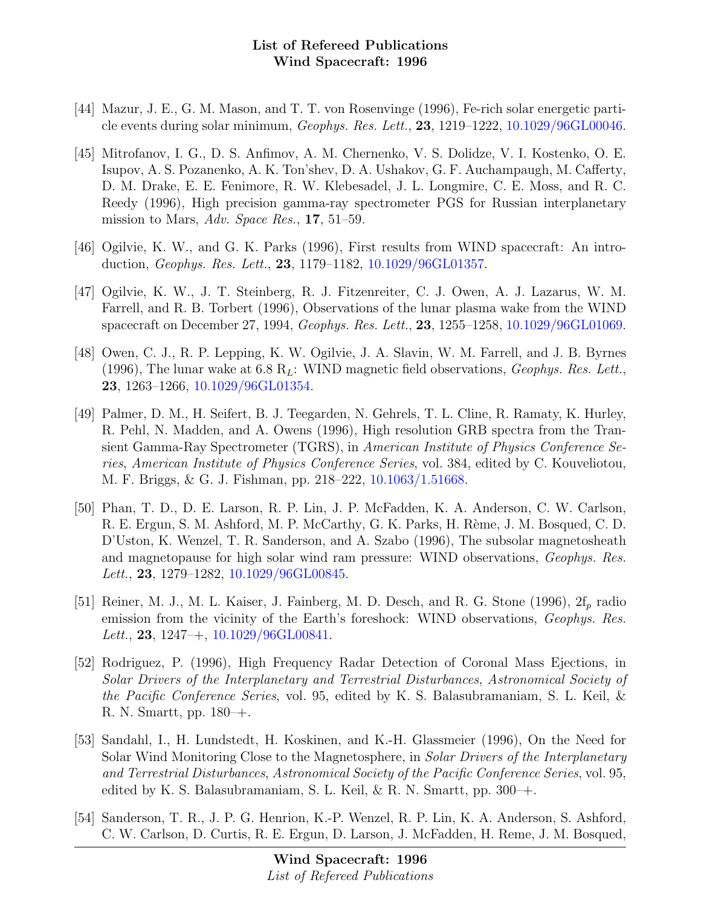- [44] Mazur, J. E., G. M. Mason, and T. T. von Rosenvinge (1996), Fe-rich solar energetic particle events during solar minimum, Geophys. Res. Lett., 23, 1219–1222, [10.1029/96GL00046.](http://dx.doi.org/10.1029/96GL00046)
- [45] Mitrofanov, I. G., D. S. Anfimov, A. M. Chernenko, V. S. Dolidze, V. I. Kostenko, O. E. Isupov, A. S. Pozanenko, A. K. Ton'shev, D. A. Ushakov, G. F. Auchampaugh, M. Cafferty, D. M. Drake, E. E. Fenimore, R. W. Klebesadel, J. L. Longmire, C. E. Moss, and R. C. Reedy (1996), High precision gamma-ray spectrometer PGS for Russian interplanetary mission to Mars, Adv. Space Res., 17, 51–59.
- [46] Ogilvie, K. W., and G. K. Parks (1996), First results from WIND spacecraft: An introduction, Geophys. Res. Lett., 23, 1179–1182, [10.1029/96GL01357.](http://dx.doi.org/10.1029/96GL01357)
- [47] Ogilvie, K. W., J. T. Steinberg, R. J. Fitzenreiter, C. J. Owen, A. J. Lazarus, W. M. Farrell, and R. B. Torbert (1996), Observations of the lunar plasma wake from the WIND spacecraft on December 27, 1994, Geophys. Res. Lett., 23, 1255–1258, [10.1029/96GL01069.](http://dx.doi.org/10.1029/96GL01069)
- [48] Owen, C. J., R. P. Lepping, K. W. Ogilvie, J. A. Slavin, W. M. Farrell, and J. B. Byrnes (1996), The lunar wake at 6.8  $R_L$ : WIND magnetic field observations, *Geophys. Res. Lett.*, 23, 1263–1266, [10.1029/96GL01354.](http://dx.doi.org/10.1029/96GL01354)
- [49] Palmer, D. M., H. Seifert, B. J. Teegarden, N. Gehrels, T. L. Cline, R. Ramaty, K. Hurley, R. Pehl, N. Madden, and A. Owens (1996), High resolution GRB spectra from the Transient Gamma-Ray Spectrometer (TGRS), in American Institute of Physics Conference Series, American Institute of Physics Conference Series, vol. 384, edited by C. Kouveliotou, M. F. Briggs, & G. J. Fishman, pp. 218–222, [10.1063/1.51668.](http://dx.doi.org/10.1063/1.51668)
- [50] Phan, T. D., D. E. Larson, R. P. Lin, J. P. McFadden, K. A. Anderson, C. W. Carlson, R. E. Ergun, S. M. Ashford, M. P. McCarthy, G. K. Parks, H. Rème, J. M. Bosqued, C. D. D'Uston, K. Wenzel, T. R. Sanderson, and A. Szabo (1996), The subsolar magnetosheath and magnetopause for high solar wind ram pressure: WIND observations, Geophys. Res. Lett., 23, 1279–1282, [10.1029/96GL00845.](http://dx.doi.org/10.1029/96GL00845)
- [51] Reiner, M. J., M. L. Kaiser, J. Fainberg, M. D. Desch, and R. G. Stone (1996),  $2f_p$  radio emission from the vicinity of the Earth's foreshock: WIND observations, Geophys. Res. Lett., 23, 1247–+,  $10.1029/96$ GL00841.
- [52] Rodriguez, P. (1996), High Frequency Radar Detection of Coronal Mass Ejections, in Solar Drivers of the Interplanetary and Terrestrial Disturbances, Astronomical Society of the Pacific Conference Series, vol. 95, edited by K. S. Balasubramaniam, S. L. Keil, & R. N. Smartt, pp. 180–+.
- [53] Sandahl, I., H. Lundstedt, H. Koskinen, and K.-H. Glassmeier (1996), On the Need for Solar Wind Monitoring Close to the Magnetosphere, in Solar Drivers of the Interplanetary and Terrestrial Disturbances, Astronomical Society of the Pacific Conference Series, vol. 95, edited by K. S. Balasubramaniam, S. L. Keil,  $\&$  R. N. Smartt, pp. 300–+.
- [54] Sanderson, T. R., J. P. G. Henrion, K.-P. Wenzel, R. P. Lin, K. A. Anderson, S. Ashford, C. W. Carlson, D. Curtis, R. E. Ergun, D. Larson, J. McFadden, H. Reme, J. M. Bosqued,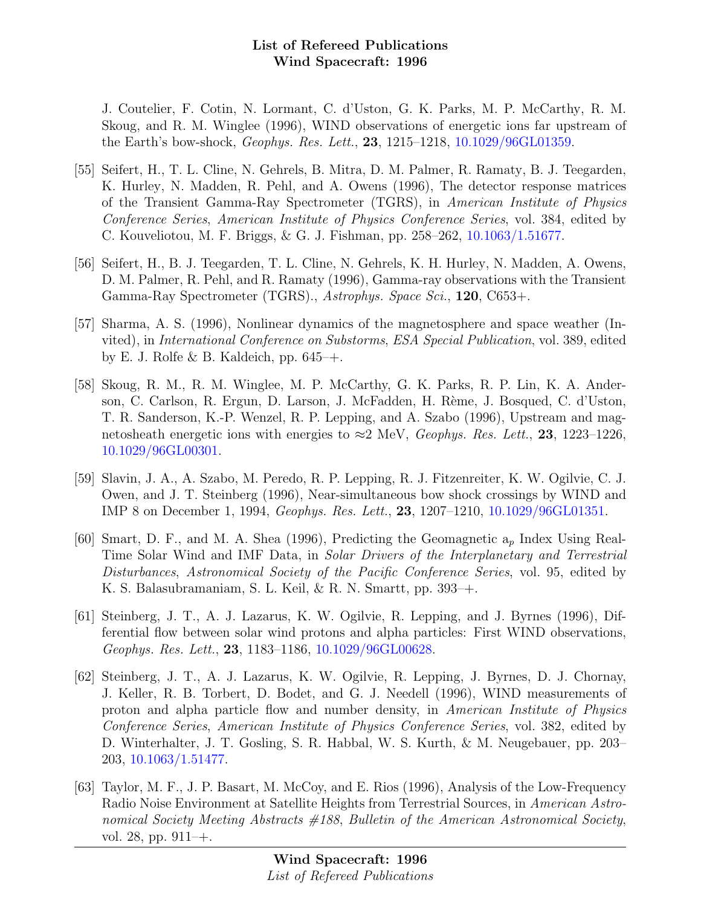J. Coutelier, F. Cotin, N. Lormant, C. d'Uston, G. K. Parks, M. P. McCarthy, R. M. Skoug, and R. M. Winglee (1996), WIND observations of energetic ions far upstream of the Earth's bow-shock, Geophys. Res. Lett., 23, 1215–1218, [10.1029/96GL01359.](http://dx.doi.org/10.1029/96GL01359)

- [55] Seifert, H., T. L. Cline, N. Gehrels, B. Mitra, D. M. Palmer, R. Ramaty, B. J. Teegarden, K. Hurley, N. Madden, R. Pehl, and A. Owens (1996), The detector response matrices of the Transient Gamma-Ray Spectrometer (TGRS), in American Institute of Physics Conference Series, American Institute of Physics Conference Series, vol. 384, edited by C. Kouveliotou, M. F. Briggs, & G. J. Fishman, pp. 258–262, [10.1063/1.51677.](http://dx.doi.org/10.1063/1.51677)
- [56] Seifert, H., B. J. Teegarden, T. L. Cline, N. Gehrels, K. H. Hurley, N. Madden, A. Owens, D. M. Palmer, R. Pehl, and R. Ramaty (1996), Gamma-ray observations with the Transient Gamma-Ray Spectrometer (TGRS)., Astrophys. Space Sci., 120, C653+.
- [57] Sharma, A. S. (1996), Nonlinear dynamics of the magnetosphere and space weather (Invited), in International Conference on Substorms, ESA Special Publication, vol. 389, edited by E. J. Rolfe & B. Kaldeich, pp.  $645-+$ .
- [58] Skoug, R. M., R. M. Winglee, M. P. McCarthy, G. K. Parks, R. P. Lin, K. A. Anderson, C. Carlson, R. Ergun, D. Larson, J. McFadden, H. Rème, J. Bosqued, C. d'Uston, T. R. Sanderson, K.-P. Wenzel, R. P. Lepping, and A. Szabo (1996), Upstream and magnetosheath energetic ions with energies to  $\approx$ 2 MeV, *Geophys. Res. Lett.*, **23**, 1223–1226, [10.1029/96GL00301.](http://dx.doi.org/10.1029/96GL00301)
- [59] Slavin, J. A., A. Szabo, M. Peredo, R. P. Lepping, R. J. Fitzenreiter, K. W. Ogilvie, C. J. Owen, and J. T. Steinberg (1996), Near-simultaneous bow shock crossings by WIND and IMP 8 on December 1, 1994, Geophys. Res. Lett., 23, 1207–1210, [10.1029/96GL01351.](http://dx.doi.org/10.1029/96GL01351)
- [60] Smart, D. F., and M. A. Shea (1996), Predicting the Geomagnetic  $a_p$  Index Using Real-Time Solar Wind and IMF Data, in Solar Drivers of the Interplanetary and Terrestrial Disturbances, Astronomical Society of the Pacific Conference Series, vol. 95, edited by K. S. Balasubramaniam, S. L. Keil, & R. N. Smartt, pp. 393–+.
- [61] Steinberg, J. T., A. J. Lazarus, K. W. Ogilvie, R. Lepping, and J. Byrnes (1996), Differential flow between solar wind protons and alpha particles: First WIND observations, Geophys. Res. Lett., 23, 1183–1186, [10.1029/96GL00628.](http://dx.doi.org/10.1029/96GL00628)
- [62] Steinberg, J. T., A. J. Lazarus, K. W. Ogilvie, R. Lepping, J. Byrnes, D. J. Chornay, J. Keller, R. B. Torbert, D. Bodet, and G. J. Needell (1996), WIND measurements of proton and alpha particle flow and number density, in American Institute of Physics Conference Series, American Institute of Physics Conference Series, vol. 382, edited by D. Winterhalter, J. T. Gosling, S. R. Habbal, W. S. Kurth, & M. Neugebauer, pp. 203– 203, [10.1063/1.51477.](http://dx.doi.org/10.1063/1.51477)
- [63] Taylor, M. F., J. P. Basart, M. McCoy, and E. Rios (1996), Analysis of the Low-Frequency Radio Noise Environment at Satellite Heights from Terrestrial Sources, in American Astronomical Society Meeting Abstracts #188, Bulletin of the American Astronomical Society, vol. 28, pp. 911–+.